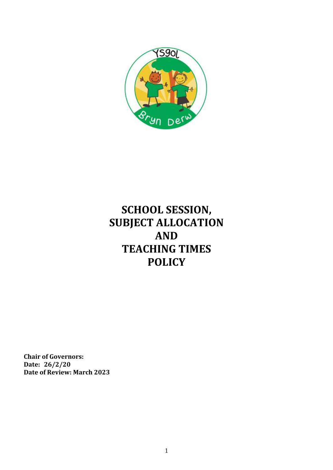

# **SCHOOL SESSION, SUBJECT ALLOCATION AND TEACHING TIMES POLICY**

**Chair of Governors: Date: 26/2/20 Date of Review: March 2023**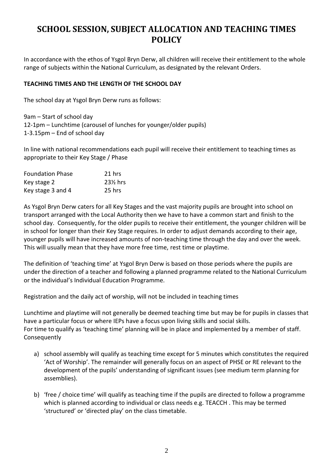# **SCHOOL SESSION, SUBJECT ALLOCATION AND TEACHING TIMES POLICY**

In accordance with the ethos of Ysgol Bryn Derw, all children will receive their entitlement to the whole range of subjects within the National Curriculum, as designated by the relevant Orders.

# **TEACHING TIMES AND THE LENGTH OF THE SCHOOL DAY**

The school day at Ysgol Bryn Derw runs as follows:

9am – Start of school day 12-1pm – Lunchtime (carousel of lunches for younger/older pupils) 1-3.15pm – End of school day

In line with national recommendations each pupil will receive their entitlement to teaching times as appropriate to their Key Stage / Phase

| <b>Foundation Phase</b><br>Key stage 2 | 21 hrs<br>23 <sup>%</sup> hrs |
|----------------------------------------|-------------------------------|
|                                        |                               |

As Ysgol Bryn Derw caters for all Key Stages and the vast majority pupils are brought into school on transport arranged with the Local Authority then we have to have a common start and finish to the school day. Consequently, for the older pupils to receive their entitlement, the younger children will be in school for longer than their Key Stage requires. In order to adjust demands according to their age, younger pupils will have increased amounts of non-teaching time through the day and over the week. This will usually mean that they have more free time, rest time or playtime.

The definition of 'teaching time' at Ysgol Bryn Derw is based on those periods where the pupils are under the direction of a teacher and following a planned programme related to the National Curriculum or the individual's Individual Education Programme.

Registration and the daily act of worship, will not be included in teaching times

Lunchtime and playtime will not generally be deemed teaching time but may be for pupils in classes that have a particular focus or where IEPs have a focus upon living skills and social skills. For time to qualify as 'teaching time' planning will be in place and implemented by a member of staff. **Consequently** 

- a) school assembly will qualify as teaching time except for 5 minutes which constitutes the required 'Act of Worship'. The remainder will generally focus on an aspect of PHSE or RE relevant to the development of the pupils' understanding of significant issues (see medium term planning for assemblies).
- b) 'free / choice time' will qualify as teaching time if the pupils are directed to follow a programme which is planned according to individual or class needs e.g. TEACCH . This may be termed 'structured' or 'directed play' on the class timetable.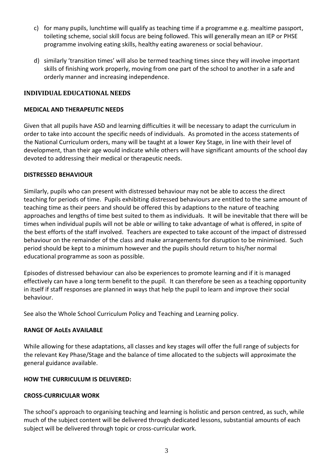- c) for many pupils, lunchtime will qualify as teaching time if a programme e.g. mealtime passport, toileting scheme, social skill focus are being followed. This will generally mean an IEP or PHSE programme involving eating skills, healthy eating awareness or social behaviour.
- d) similarly 'transition times' will also be termed teaching times since they will involve important skills of finishing work properly, moving from one part of the school to another in a safe and orderly manner and increasing independence.

# **INDIVIDUAL EDUCATIONAL NEEDS**

#### **MEDICAL AND THERAPEUTIC NEEDS**

Given that all pupils have ASD and learning difficulties it will be necessary to adapt the curriculum in order to take into account the specific needs of individuals. As promoted in the access statements of the National Curriculum orders, many will be taught at a lower Key Stage, in line with their level of development, than their age would indicate while others will have significant amounts of the school day devoted to addressing their medical or therapeutic needs.

#### **DISTRESSED BEHAVIOUR**

Similarly, pupils who can present with distressed behaviour may not be able to access the direct teaching for periods of time. Pupils exhibiting distressed behaviours are entitled to the same amount of teaching time as their peers and should be offered this by adaptions to the nature of teaching approaches and lengths of time best suited to them as individuals. It will be inevitable that there will be times when individual pupils will not be able or willing to take advantage of what is offered, in spite of the best efforts of the staff involved. Teachers are expected to take account of the impact of distressed behaviour on the remainder of the class and make arrangements for disruption to be minimised. Such period should be kept to a minimum however and the pupils should return to his/her normal educational programme as soon as possible.

Episodes of distressed behaviour can also be experiences to promote learning and if it is managed effectively can have a long term benefit to the pupil. It can therefore be seen as a teaching opportunity in itself if staff responses are planned in ways that help the pupil to learn and improve their social behaviour.

See also the Whole School Curriculum Policy and Teaching and Learning policy.

#### **RANGE OF AoLEs AVAILABLE**

While allowing for these adaptations, all classes and key stages will offer the full range of subjects for the relevant Key Phase/Stage and the balance of time allocated to the subjects will approximate the general guidance available.

#### **HOW THE CURRICULUM IS DELIVERED:**

#### **CROSS-CURRICULAR WORK**

The school's approach to organising teaching and learning is holistic and person centred, as such, while much of the subject content will be delivered through dedicated lessons, substantial amounts of each subject will be delivered through topic or cross-curricular work.